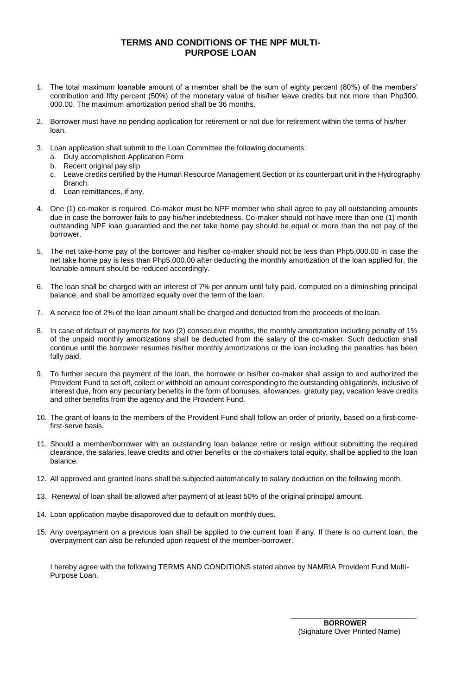## **TERMS AND CONDITIONS OF THE NPF MULTI-PURPOSE LOAN**

- 1. The total maximum loanable amount of a member shall be the sum of eighty percent (80%) of the members' contribution and fifty percent (50%) of the monetary value of his/her leave credits but not more than Php300, 000.00. The maximum amortization period shall be 36 months.
- 2. Borrower must have no pending application for retirement or not due for retirement within the terms of his/her loan.
- 3. Loan application shall submit to the Loan Committee the following documents:
	- a. Duly accomplished Application Form
	- b. Recent original pay slip
	- c. Leave credits certified by the Human Resource Management Section or its counterpart unit in the Hydrography Branch.
	- d. Loan remittances, if any.
- 4. One (1) co-maker is required. Co-maker must be NPF member who shall agree to pay all outstanding amounts due in case the borrower fails to pay his/her indebtedness. Co-maker should not have more than one (1) month outstanding NPF loan guarantied and the net take home pay should be equal or more than the net pay of the borrower.
- 5. The net take-home pay of the borrower and his/her co-maker should not be less than Php5,000.00 in case the net take home pay is less than Php5,000.00 after deducting the monthly amortization of the loan applied for, the loanable amount should be reduced accordingly.
- 6. The loan shall be charged with an interest of 7% per annum until fully paid, computed on a diminishing principal balance, and shall be amortized equally over the term of the loan.
- 7. A service fee of 2% of the loan amount shall be charged and deducted from the proceeds of the loan.
- 8. In case of default of payments for two (2) consecutive months, the monthly amortization including penalty of 1% of the unpaid monthly amortizations shall be deducted from the salary of the co-maker. Such deduction shall continue until the borrower resumes his/her monthly amortizations or the loan including the penalties has been fully paid.
- 9. To further secure the payment of the loan, the borrower or his/her co-maker shall assign to and authorized the Provident Fund to set off, collect or withhold an amount corresponding to the outstanding obligation/s, inclusive of interest due, from any pecuniary benefits in the form of bonuses, allowances, gratuity pay, vacation leave credits and other benefits from the agency and the Provident Fund.
- 10. The grant of loans to the members of the Provident Fund shall follow an order of priority, based on a first-comefirst-serve basis.
- 11. Should a member/borrower with an outstanding loan balance retire or resign without submitting the required clearance, the salaries, leave credits and other benefits or the co-makers total equity, shall be applied to the loan balance.
- 12. All approved and granted loans shall be subjected automatically to salary deduction on the following month.
- 13. Renewal of loan shall be allowed after payment of at least 50% of the original principal amount.
- 14. Loan application maybe disapproved due to default on monthly dues.
- 15. Any overpayment on a previous loan shall be applied to the current loan if any. If there is no current loan, the overpayment can also be refunded upon request of the member-borrower.

I hereby agree with the following TERMS AND CONDITIONS stated above by NAMRIA Provident Fund Multi-Purpose Loan.